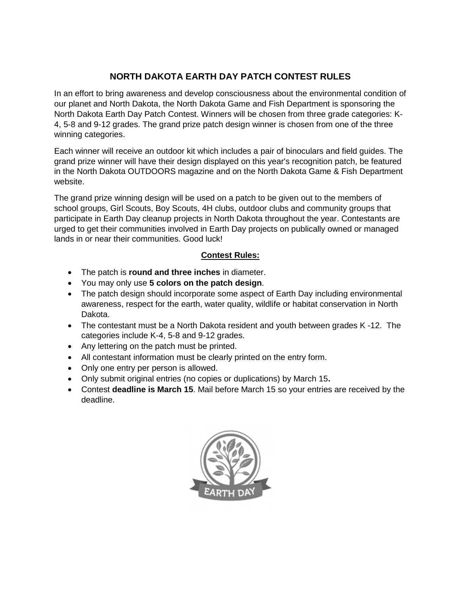## **NORTH DAKOTA EARTH DAY PATCH CONTEST RULES**

In an effort to bring awareness and develop consciousness about the environmental condition of our planet and North Dakota, the North Dakota Game and Fish Department is sponsoring the North Dakota Earth Day Patch Contest. Winners will be chosen from three grade categories: K-4, 5-8 and 9-12 grades. The grand prize patch design winner is chosen from one of the three winning categories.

Each winner will receive an outdoor kit which includes a pair of binoculars and field guides. The grand prize winner will have their design displayed on this year's recognition patch, be featured in the North Dakota OUTDOORS magazine and on the North Dakota Game & Fish Department website.

The grand prize winning design will be used on a patch to be given out to the members of school groups, Girl Scouts, Boy Scouts, 4H clubs, outdoor clubs and community groups that participate in Earth Day cleanup projects in North Dakota throughout the year. Contestants are urged to get their communities involved in Earth Day projects on publically owned or managed lands in or near their communities. Good luck!

## **Contest Rules:**

- The patch is **round and three inches** in diameter.
- You may only use **5 colors on the patch design**.
- The patch design should incorporate some aspect of Earth Day including environmental awareness, respect for the earth, water quality, wildlife or habitat conservation in North Dakota.
- The contestant must be a North Dakota resident and youth between grades K -12. The categories include K-4, 5-8 and 9-12 grades.
- Any lettering on the patch must be printed.
- All contestant information must be clearly printed on the entry form.
- Only one entry per person is allowed.
- Only submit original entries (no copies or duplications) by March 15**.**
- Contest **deadline is March 15**. Mail before March 15 so your entries are received by the deadline.